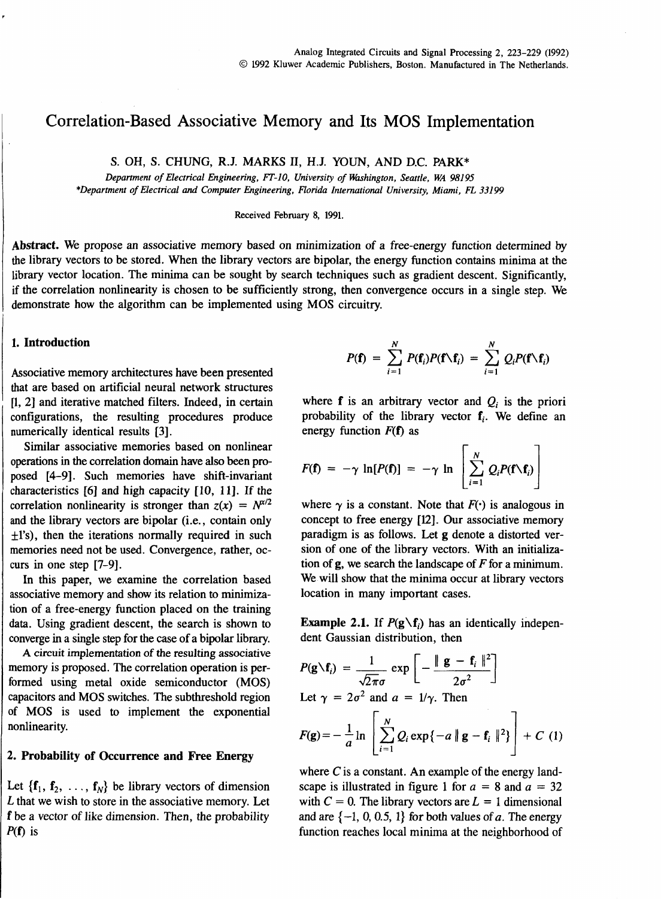# ~ Correlation-Based Associative Memory and Its MOS Implementation

S. OH, S. CHUNG, R.J. MARKS **m,** H.J. YOUN, AND D.C. PARK\*

*Department of Electrical Engineering, FT-I* **0,** *University of Washington, Seattle, WA 981 95 \*Department of Electrical and Computer Engineering, Florida International University, Miami, FL 331 99* 

Received February 8, 1991.

Abstract. We propose an associative memory based on minimization of a free-energy function determined by the library vectors to be stored. When the library vectors are bipolar, the energy function contains minima at the library vector location. The minima can be sought by search techniques such as gradient descent. Significantly, if the correlation nonlinearity is chosen to be sufficiently strong, then convergence occurs in a single step. We demonstrate how the algorithm can be implemented using MOS circuitry.

### 1. Introduction

Associative memory architectures have been presented that are based on artificial neural network structures [I, **21** and iterative matched filters. Indeed, in certain configurations, the resulting procedures produce numerically identical results **[3].** 

Similar associative memories based on nonlinear operations in the correlation domain have also been proposed [4-91. Such memories have shift-invariant characteristics [6] and high capacity [lo, **111.** If the correlation nonlinearity is stronger than  $z(x) = N^{\alpha/2}$ and the library vectors are bipolar (i.e., contain only  $f(x)$ , then the iterations normally required in such memories need not be used. Convergence, rather, occurs in one step [7-91.

In this paper, we examine the correlation based associative memory and show its relation to minimization of a free-energy function placed on the training data. Using gradient descent, the search is shown to converge in a single step for the case of a bipolar library.

A circuit implementation of the resulting associative memory is proposed. The correlation operation is performed using metal oxide semiconductor (MOS) capacitors and MOS switches. The subthreshold region of MOS is used to implement the exponential nonlinearity.

# 2. Probability of Occurrence and Free Energy

Let  $\{f_1, f_2, \ldots, f_N\}$  be library vectors of dimension L that we wish to store in the associative memory. Let f be a vector of like dimension. Then, the probability  $P(f)$  is

$$
P(\mathbf{f}) = \sum_{i=1}^N P(\mathbf{f}_i) P(\mathbf{f} \setminus \mathbf{f}_i) = \sum_{i=1}^N Q_i P(\mathbf{f} \setminus \mathbf{f}_i)
$$

where  $f$  is an arbitrary vector and  $Q_i$  is the priori probability of the library vector  $f_i$ . We define an energy function  $F(f)$  as

$$
F(\mathbf{f}) = -\gamma \ln[P(\mathbf{f})] = -\gamma \ln \left[ \sum_{i=1}^{N} Q_i P(\mathbf{f} \setminus \mathbf{f}_i) \right]
$$

where  $\gamma$  is a constant. Note that  $F(\cdot)$  is analogous in concept to free energy **[12].** Our associative memory paradigm is as follows. Let g denote a distorted version of one of the library vectors. With an initialization of  $g$ , we search the landscape of  $F$  for a minimum. We will show that the minima occur at library vectors location in many important cases.

**Example 2.1.** If  $P(g \setminus f_i)$  has an identically independent Gaussian distribution, then

$$
P(\mathbf{g} \setminus \mathbf{f}_i) = \frac{1}{\sqrt{2\pi}\sigma} \exp\left[-\frac{\|\mathbf{g} - \mathbf{f}_i\|^2}{2\sigma^2}\right]
$$
  
Let  $\gamma = 2\sigma^2$  and  $a = 1/\gamma$ . Then

$$
F(g) = -\frac{1}{a} \ln \left[ \sum_{i=1}^{N} Q_i \exp\{-a \parallel g - f_i \parallel^2\} \right] + C \quad (1)
$$

where  $C$  is a constant. An example of the energy landscape is illustrated in figure 1 for  $a = 8$  and  $a = 32$ with  $C = 0$ . The library vectors are  $L = 1$  dimensional and are  $\{-1, 0, 0.5, 1\}$  for both values of a. The energy function reaches local minima at the neighborhood of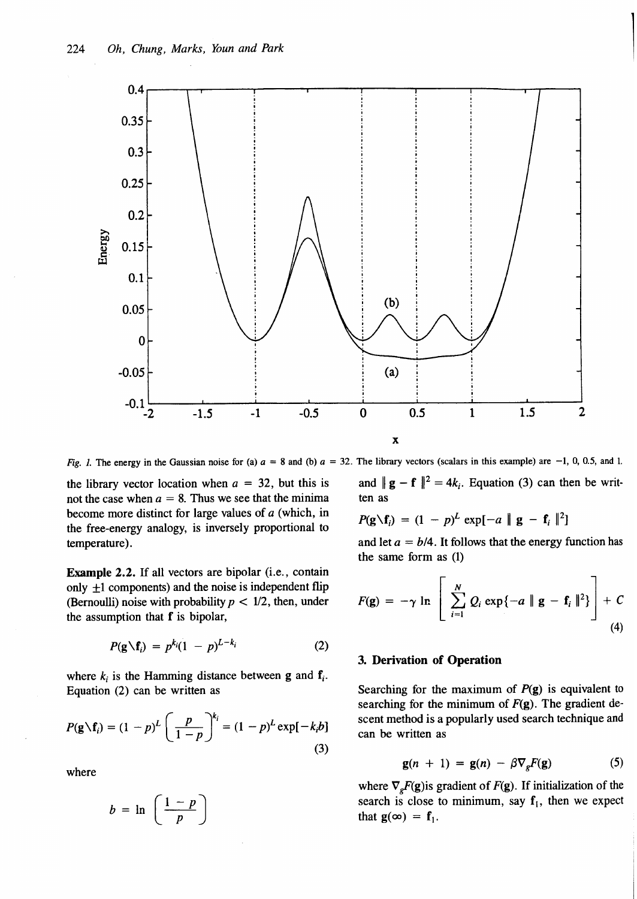

**Fig.** *l.* The energy in the Gaussian noise for (a)  $a = 8$  and (b)  $a = 32$ . The library vectors (scalars in this example) are -1, 0, 0.5, and 1.

the library vector location when  $a = 32$ , but this is and  $||\mathbf{g} - \mathbf{f}||^2 = 4k_i$ . Equation (3) can then be writ-<br>not the case when  $a = 8$ . Thus we see that the minima ten as not the case when  $a = 8$ . Thus we see that the minima become more distinct for large values of a (which, in  $P(g \setminus f_i) = (1 - p)^L \exp[-a || g - f_i ||^2]$ <br>the free-energy analogy, is inversely proportional to temperature). and let  $a = b/4$ . It follows that the energy function has

Example 2.2. If all vectors are bipolar (i.e., contain only  $\pm 1$  components) and the noise is independent flip (Bernoulli) noise with probability  $p < 1/2$ , then, under the assumption that  $f$  is bipolar,

$$
P(\mathbf{g}\setminus\mathbf{f}_i)=p^{k_i}(1-p)^{L-k_i}
$$
 (2)

where  $k_i$  is the Hamming distance between g and  $f_i$ . Equation (2) can be written as Searching for the maximum of  $P(g)$  is equivalent to

$$
P(\mathbf{g} \setminus \mathbf{f}_i) = (1-p)^L \left(\frac{p}{1-p}\right)^{k_i} = (1-p)^L \exp[-k_i b]
$$
\n(3)

where

$$
b = \ln\left(\frac{1-p}{p}\right)
$$

$$
P(\mathbf{g}\setminus\mathbf{f}_i) = (1-p)^L \exp[-a \parallel \mathbf{g} - \mathbf{f}_i\parallel^2]
$$

the same form as (1)

$$
F(\mathbf{g}) = -\gamma \ln \left[ \sum_{i=1}^{N} Q_i \exp\{-a \parallel \mathbf{g} - \mathbf{f}_i \parallel^2\} \right] + C
$$
\n(4)

## 3. Derivation of Operation

searching for the minimum of  $F(g)$ . The gradient descent method is a popularly used search technique and can be written as

$$
\mathbf{g}(n + 1) = \mathbf{g}(n) - \beta \nabla_{e} F(\mathbf{g}) \tag{5}
$$

where  $\nabla_{e}F(g)$  is gradient of  $F(g)$ . If initialization of the search is close to minimum, say  $f_1$ , then we expect that  $g(\infty) = f_1$ .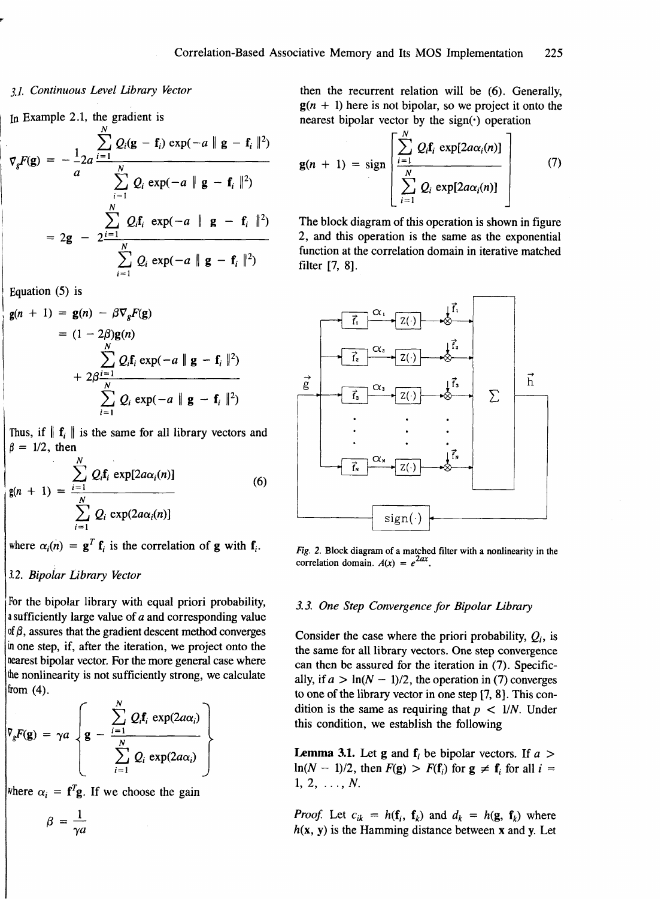### <sup>1</sup>*3.1.* Continuous Level Library Vector

In Example 2.1, the gradient is

$$
\nabla_{g}F(g) = -\frac{1}{a} 2a \frac{\sum_{i=1}^{N} Q_{i}(g - f_{i}) \exp(-a \| g - f_{i} \|^{2})}{\sum_{i=1}^{N} Q_{i} \exp(-a \| g - f_{i} \|^{2})}
$$

$$
= 2g - 2\frac{\sum_{i=1}^{N} Q_{i}f_{i} \exp(-a \| g - f_{i} \|^{2})}{\sum_{i=1}^{N} Q_{i} \exp(-a \| g - f_{i} \|^{2})}
$$

Equation (5) is

$$
\mathbf{g}(n + 1) = \mathbf{g}(n) - \beta \nabla_{g} F(\mathbf{g})
$$
  
=  $(1 - 2\beta)\mathbf{g}(n)$   

$$
\sum_{i=1}^{N} Q_{i} \mathbf{f}_{i} \exp(-a \parallel \mathbf{g} - \mathbf{f}_{i} \parallel^{2})
$$
  
+  $2\beta \frac{N}{N}$   

$$
\sum_{i=1}^{N} Q_{i} \exp(-a \parallel \mathbf{g} - \mathbf{f}_{i} \parallel^{2})
$$

Thus, if  $\|\mathbf{f}_i\|$  is the same for all library vectors and  $\beta = 1/2$ , then

$$
g(n + 1) = \frac{\sum_{i=1}^{N} Q_i f_i \exp[2a\alpha_i(n)]}{\sum_{i=1}^{N} Q_i \exp(2a\alpha_i(n))}
$$
(6)

where  $\alpha_i(n) = \mathbf{g}^T \mathbf{f}_i$  is the correlation of **g** with  $\mathbf{f}_i$ .

3.2. Bipolar Library Vector<br>For the bipolar library with equal priori probability, For the bipolar library with equal priori probability,<br>a sufficiently large value of  $a$  and corresponding value<br>of  $\beta$ , assures that the gradient descent method converges a sufficiently large value of a and corresponding value of  $\beta$ , assures that the gradient descent method converges in one step, if, after the iteration, we project onto the nearest bipolar vector. For the more general case where the nonlinearity is not sufficiently strong, we calculate  $from (4).$ 

$$
\nabla_{g}F(g) = \gamma a \left\{ g - \frac{\sum_{i=1}^{N} Q_{i}f_{i} \exp(2a\alpha_{i})}{\sum_{i=1}^{N} Q_{i} \exp(2a\alpha_{i})} \right\}
$$

where  $\alpha_i = f^T g$ . If we choose the gain

$$
\beta = \frac{1}{\gamma a}
$$

then the recurrent relation will be (6). Generally,  $g(n + 1)$  here is not bipolar, so we project it onto the nearest bipolar vector by the  $sign(\cdot)$  operation

$$
\mathbf{g}(n + 1) = \text{sign}\left[\frac{\sum_{i=1}^{N} Q_{i}\mathbf{f}_{i} \exp[2a\alpha_{i}(n)]}{\sum_{i=1}^{N} Q_{i} \exp[2a\alpha_{i}(n)]}\right]
$$
(7)

The block diagram of this operation is shown in figure 2, and this operation is the same as the exponential function at the correlation domain in iterative matched filter [7, **81.** 



**Fig. 2. Block diagram of a matched filter with a nonlinearity in the correlation domain.**  $A(x) = e^{2ax}$ .

### 3.3. One Step Convergence for Bipolar Library

Consider the case where the priori probability,  $Q_i$ , is the same for all library vectors. One step convergence can then be assured for the iteration in (7). Specifically, if  $a > \ln(N - 1)/2$ , the operation in (7) converges to one of the library vector in one step [7, **8).** This condition is the same as requiring that  $p < 1/N$ . Under this condition, we establish the following

**Lemma 3.1.** Let **g** and  $f_i$  be bipolar vectors. If  $a >$  $\ln(N - 1)/2$ , then  $F(g) > F(f_i)$  for  $g \neq f_i$  for all  $i =$  $1, 2, \ldots, N.$ 

*Proof.* Let  $c_{ik} = h(\mathbf{f}_i, \mathbf{f}_k)$  and  $d_k = h(\mathbf{g}, \mathbf{f}_k)$  where  $h(x, y)$  is the Hamming distance between x and y. Let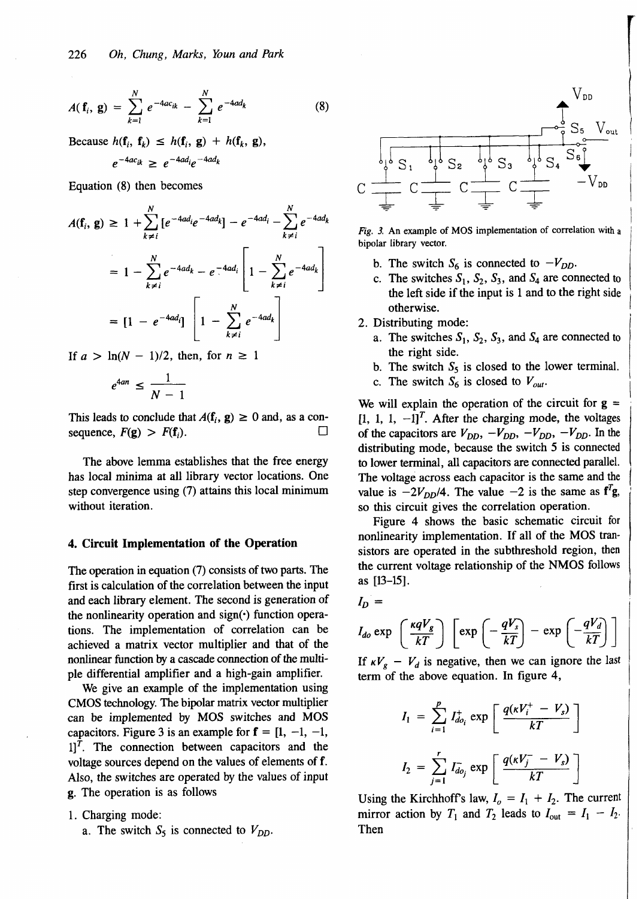$$
A(\mathbf{f}_i, \mathbf{g}) = \sum_{k=1}^N e^{-4ac_{ik}} - \sum_{k=1}^N e^{-4ad_k}
$$
 (8)

Because  $h(\mathbf{f}_i, \mathbf{f}_k) \leq h(\mathbf{f}_i, \mathbf{g}) + h(\mathbf{f}_k, \mathbf{g}),$ 

$$
e^{-4ac_{ik}} \geq e^{-4ad_i}e^{-4ad_k}
$$

Equation (8) then becomes

$$
A(\mathbf{f}_i, \mathbf{g}) \ge 1 + \sum_{k \ne i}^{N} [e^{-4ad_i}e^{-4ad_k}] - e^{-4ad_i} - \sum_{k \ne i}^{N} e^{-4ad_k}
$$
  
=  $1 - \sum_{k \ne i}^{N} e^{-4ad_k} - e^{-4ad_i} \left[ 1 - \sum_{k \ne i}^{N} e^{-4ad_k} \right]$   
=  $[1 - e^{-4ad_i}] \left[ 1 - \sum_{k \ne i}^{N} e^{-4ad_k} \right]$ 

If  $a > \ln(N - 1)/2$ , then, for  $n \ge 1$ 

$$
e^{4an} \leq \frac{1}{N-1}
$$

This leads to conclude that  $A(f_i, g) \ge 0$  and, as a consequence,  $F(\mathbf{g}) > F(\mathbf{f}_i)$ . □

The above lemma establishes that the free energy has local minima at all library vector locations. One step convergence using (7) attains this local minimum without iteration.

### **4. Circuit Implementation** of **the Operation**

The operation in equation (7) consists of two parts. The first is calculation of the correlation between the input and each library element. The second is generation of the nonlinearity operation and  $sign(\cdot)$  function operations. The implementation of correlation can be achieved a matrix vector multiplier and that of the nonlinear function by a cascade connection of the multiple differential amplifier and a high-gain amplifier.

We give an example of the implementation using CMOS technology. The bipolar matrix vector multiplier can be implemented by MOS switches and MOS capacitors. Figure 3 is an example for  $f = \begin{bmatrix} 1, -1, -1 \end{bmatrix}$  $1$ <sup>T</sup>. The connection between capacitors and the voltage sources depend on the values of elements of f. Also, the switches are operated by the values of input g. The operation is as follows

1. Charging mode:

a. The switch  $S_5$  is connected to  $V_{DD}$ .



Fig. 3. An example of **MOS** implementation of correlation with **<sup>a</sup>** bipolar library vector.

- b. The switch  $S_6$  is connected to  $-V_{DD}$ .
- c. The switches  $S_1$ ,  $S_2$ ,  $S_3$ , and  $S_4$  are connected to the left side if the input is 1 and to the right side otherwise.
- 2. Distributing mode:
	- a. The switches  $S_1$ ,  $S_2$ ,  $S_3$ , and  $S_4$  are connected to the right side.
	- b. The switch  $S_5$  is closed to the lower terminal.
	- c. The switch  $S_6$  is closed to  $V_{out}$ .

We will explain the operation of the circuit for  $g =$  $[1, 1, 1, -1]^T$ . After the charging mode, the voltages of the capacitors are  $V_{DD}$ ,  $-V_{DD}$ ,  $-V_{DD}$ ,  $-V_{DD}$ . In the distributing mode, because the switch 5 is connected to lower terminal, **all** capacitors are connected parallel. The voltage across each capacitor is the same and the value is  $-2V_{DD}/4$ . The value  $-2$  is the same as  $f'g$ , so this circuit gives the correlation operation.

Figure 4 shows the basic schematic circuit for nonlinearity implementation. If all of the MOS transistors are operated in the subthreshold region, then the current voltage relationship of the NMOS follows as **[13-151.** <sup>I</sup>

$$
I_D =
$$

$$
I_{do} \exp \left(\frac{\kappa q V_g}{kT}\right) \left[\exp\left(-\frac{qV_s}{kT}\right)-\exp\left(-\frac{qV_d}{kT}\right)\right]
$$

If  $\kappa V_g - V_d$  is negative, then we can ignore the last term of the above equation. In figure 4,

$$
I_1 = \sum_{i=1}^{P} I_{do_i}^+ \exp\left[\frac{q(\kappa V_i^+ - V_s)}{kT}\right]
$$
  

$$
I_2 = \sum_{j=1}^{r} I_{do_j} \exp\left[\frac{q(\kappa V_j^- - V_s)}{kT}\right]
$$

i i

Using the Kirchhoff's law,  $I_0 = I_1 + I_2$ . The current mirror action by  $T_1$  and  $T_2$  leads to  $I_{\text{out}} = I_1 - I_2$ . Then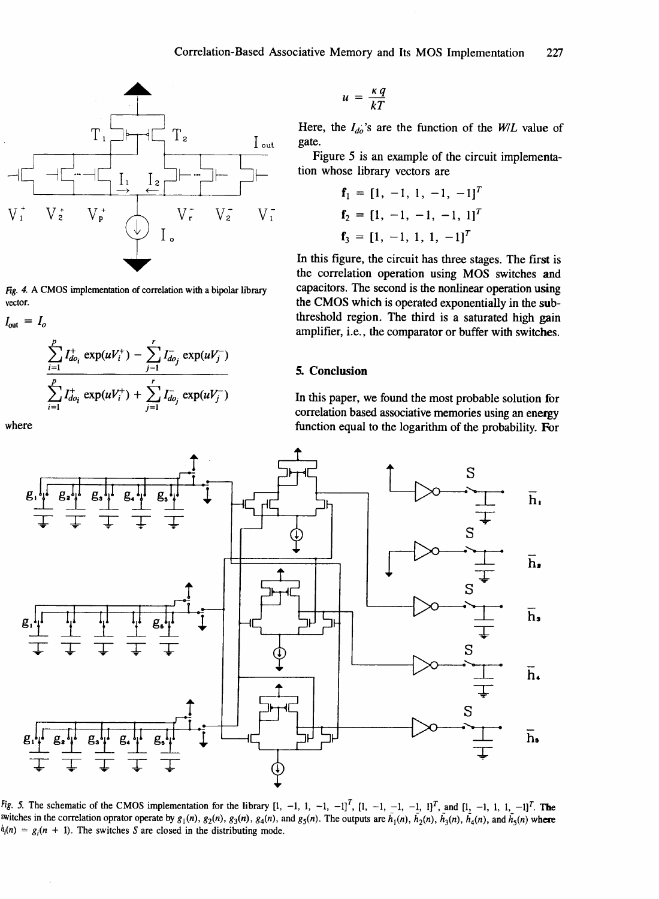

*Fig. 4. A* **CMOS implementation of correlation with a bipolar library vector.** 

$$
I_{\text{out}} = I_o
$$
  

$$
\sum_{i=1}^{p} I_{do_i}^+ \exp(uV_i^+) - \sum_{j=1}^{r} I_{do_j}^- \exp(uV_j^-)
$$
  

$$
\sum_{i=1}^{p} I_{do_i}^+ \exp(uV_i^+) + \sum_{j=1}^{r} I_{do_j}^- \exp(uV_j^-)
$$

$$
u = \frac{\kappa q}{kT}
$$

Here, the  $I_{do}$ 's are the function of the *WIL* value of gate.

Figure 5 is an example of the circuit implementation whose library vectors are

$$
\mathbf{f}_1 = [1, -1, 1, -1, -1]^T
$$
  
\n
$$
\mathbf{f}_2 = [1, -1, -1, -1, 1]^T
$$
  
\n
$$
\mathbf{f}_3 = [1, -1, 1, 1, -1]^T
$$

In this figure, the circuit has three stages. The first is the correlation operation using MOS switches and capacitors. The second is the nonlinear operation using the CMOS which is operated exponentially in the subthreshold region. The third is a saturated high gain amplifier, i.e., the comparator or buffer with switches.

### 5. Conclusion

In this paper, we found the most probable solution for correlation based associative memories using an eneqy function equal to the logarithm of the probability. For



*Fig.* 5. The schematic of the CMOS implementation for the library  $[1, -1, 1, -1, -1]^T$ ,  $[1, -1, -1, -1, 1]^T$ , and  $[1, -1, 1, 1, -1]^T$ . The switches in the correlation oprator operate by  $g_1(n)$ ,  $g_2(n)$ ,  $g_3(n)$ ,  $g_4(n)$ , and  $g_5(n)$ . The outputs are  $\bar{h}_1(n)$ ,  $\bar{h}_2(n)$ ,  $\bar{h}_3(n)$ ,  $\bar{h}_4(n)$ , and  $\bar{h}_5(n)$  where  $h_i(n) = g_i(n + 1)$ . The switches *S* are closed in the distributing mode.

where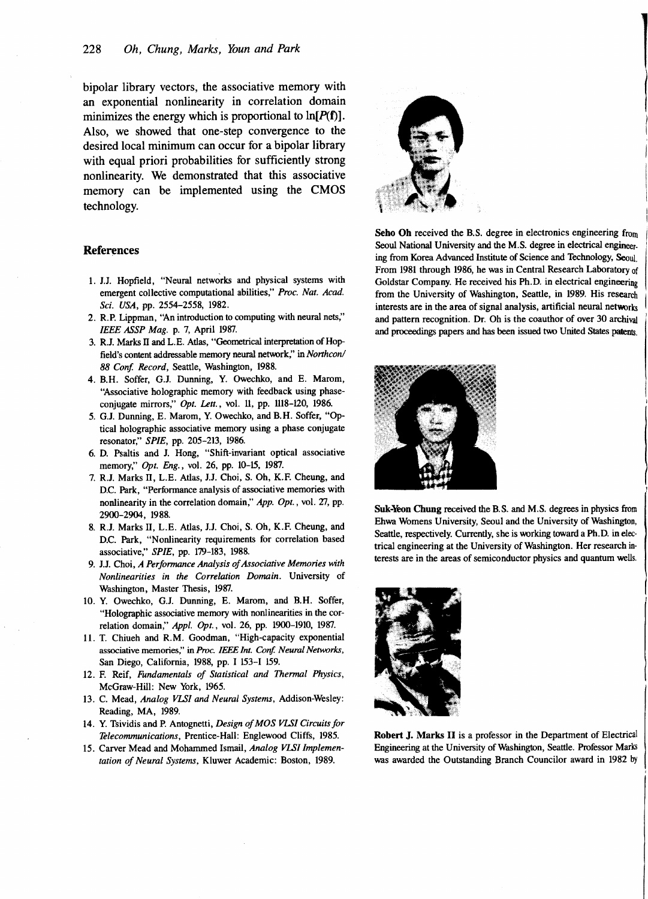bipolar library vectors, the associative memory with an exponential nonlinearity in correlation domain minimizes the energy which is proportional to **ln[P(f)].**  Also, we showed that one-step convergence to the desired local minimum can occur for a bipolar library with equal priori probabilities for sufficiently strong nonlinearity. We demonstrated that this associative memory can be implemented using the CMOS technology.

### **References**

- 1. J.J. Hopfield, "Neural networks and physical systems with emergent collective computational abilities," Proc. Nat. Acad. Sci. USA, pp. 2554-2558, 1982.
- 2. R.P. Lipprnan, "An introduction to computing with neural nets," IEEE ASSP Mag. p. 7, April 1987.
- 3. R.J. Marks **II** and L.E. Atlas, "Geometrical interpretation of Hop field's content addressable memory neural network," in Northcon/ 88 Conf. Record, Seattle, Washington, 1988.
- 4. B.H. Soffer, G.J. Dunning, Y. Owechko, and E. Marom, "Associative holographic memory with feedback using phaseconjugate mirrors," Opt. Lett., vol. 11, pp. ll18-120, 1986.
- 5. G.J. Dunning, E. Marom, Y. Owechko, and B.H. Soffer, "Optical holographic associative memory using a phase conjugate resonator," SPIE, pp. 205-213, 1986.
- 6. D. Psaltis and J. Hong, "Shift-invariant optical associative memory," Opt. Eng., vol. 26, pp. 10-15, 1987.
- 7. R.J. Marks 11, L.E. Atlas, J.J. Choi, S. Oh, K.F. Cheung, and D.C. Park, "Performance analysis of associative memories with nonlinearity in the correlation domain," App. Opt., vol. 27, pp. 2900-2904, 1988.
- 8. R.J. Marks 11, L.E. Atlas, J.J. Choi, S. Oh, K.F. Cheung, and D.C. Park, "Nonlinearity requirements for correlation based associative," SPIE, pp. 179-183, 1988.
- 9. J.J. Choi, A Performance Analysis of Associative Memories with Nonlinearities in the Correlation Domain. University of Washington, Master Thesis, 1987.
- 10. Y. Owechko, G.J. Dunning, E. Marom, and B.H. Soffer, "Holographic associative memory with nonlinearities in the correlation domain," Appl. Opt., vol. 26, pp. 1900-1910, 1987.
- 11. T. Chiueh and R.M. Goodman, "High-capacity exponential associative memories," in Proc. IEEE Int. Conf. Neural Networks, San Diego, California, 1988, pp. I 153-1 159.
- 12. F. Reif, Fundamentals of Statistical and Thermal Physics, McGraw-Hill: New York, 1965.
- 13. C. Mead, Analog VLSI and Neural Systems, Addison-Wesley: Reading, MA, 1989.
- 14. Y. Tsividis and P. Antognetti, Design of MOS *VLTI* Circuits for Telecommunications, Prentice-Hall: Englewood Cliffs, 1985.
- 15. Carver Mead and Mohammed Ismail, Analog VLSI Implementation of Neural Systems, Kluwer Academic: Boston, 1989.



**Seho** Oh received the B.S. degree in electronics engineering from Seoul National University and the M.S. degree in electrical engineering from Korea Advanced Institute of Science and Technology, **Seoul.**  From 1981 through 1986, he was in Central Research Laboratory of Goldstar Company. He received his Ph.D. in electrical engineering from the University of Washington, Seattle, in 1989. His research interests are in the area of signal analysis, artificial neural networks and pattern recognition. Dr. Oh is the coauthor of over 30 archival and proceedmgs papers and has been issued two United States **patents.** 



Suk-Yeon Chung received the B.S. and M.S. degrees in physics from Ehwa Womens University, Seoul and the University of Washington, Seattle, respectively. Currently, she is working toward a Ph.D. in electrical engineering at the University of Washington. Her research interests are in the areas of semiconductor physics and quantum **wells.** 



**Robert** J. Marks **I1** is a professor in the Department of Electrical Engineering at the University of Washington, Seattle. Professor **Marb**  was awarded the Outstanding Branch Councilor award in 1982 by